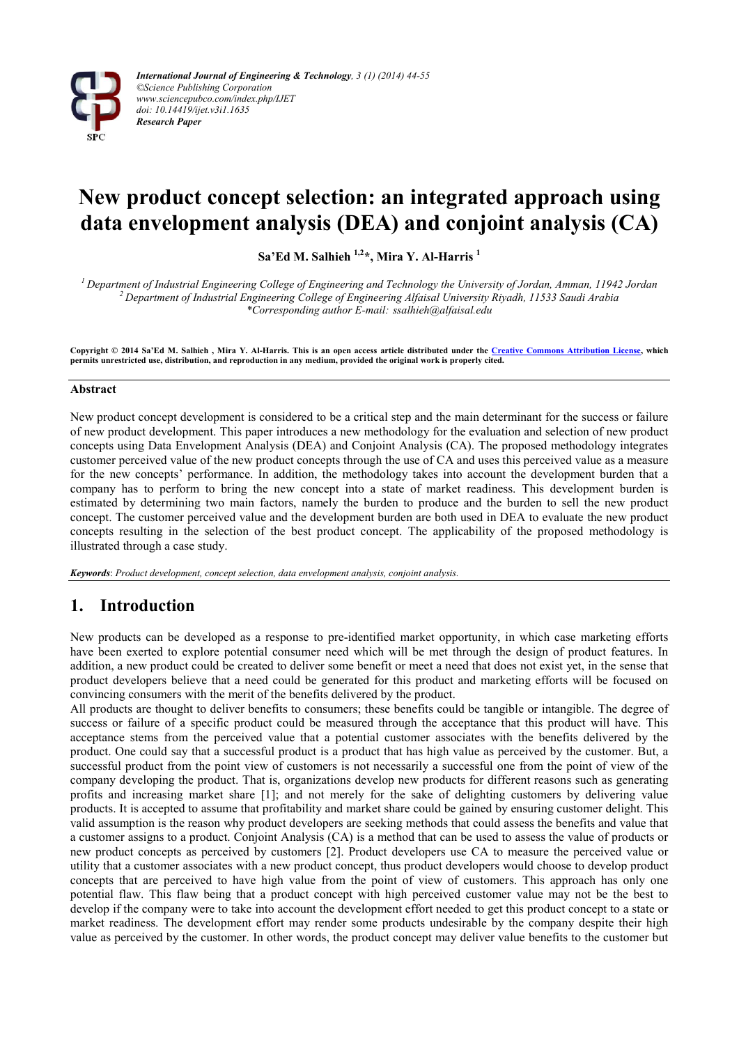

# New product concept selection: an integrated approach using data envelopment analysis (DEA) and conjoint analysis (CA)

Sa'Ed M. Salhieh <sup>1,2</sup>\*, Mira Y. Al-Harris <sup>1</sup>

<sup>1</sup> Department of Industrial Engineering College of Engineering and Technology the University of Jordan, Amman, 11942 Jordan<br><sup>2</sup> Department of Industrial Engineering College of Engineering Alfaisal University Riyadh, 1153 *\*Corresponding author E-mail: ssalhieh@alfaisal.edu*

Copyright © 2014 Sa'Ed M. Salhieh, Mira Y. Al-Harris. This is an open access article distributed under the [Creative Commons Attribu](http://creativecommons.org/licenses/by/3.0/)tion License, which permits unrestricted use, distribution, and reproduction in any medium, provided the original work is properly cited.

### Abstract

New product concept development is considered to be a critical step and the main determinant for the success or failure of new product development. This paper introduces a new methodology for the evaluation and selection of new product concepts using Data Envelopment Analysis (DEA) and Conjoint Analysis (CA). The proposed methodology integrates customer perceived value of the new product concepts through the use of CA and uses this perceived value as a measure for the new concepts' performance. In addition, the methodology takes into account the development burden that a company has to perform to bring the new concept into a state of market readiness. This development burden is estimated by determining two main factors, namely the burden to produce and the burden to sell the new product concept. The customer perceived value and the development burden are both used in DEA to evaluate the new product concepts resulting in the selection of the best product concept. The applicability of the proposed methodology is illustrated through a case study.

*Keywords*: *Product development, concept selection, data envelopment analysis, conjoint analysis.*

# 1. Introduction

New products can be developed as a response to pre-identified market opportunity, in which case marketing efforts have been exerted to explore potential consumer need which will be met through the design of product features. In addition, a new product could be created to deliver some benefit or meet a need that does not exist yet, in the sense that product developers believe that a need could be generated for this product and marketing efforts will be focused on convincing consumers with the merit of the benefits delivered by the product.

All products are thought to deliver benefits to consumers; these benefits could be tangible or intangible. The degree of success or failure of a specific product could be measured through the acceptance that this product will have. This acceptance stems from the perceived value that a potential customer associates with the benefits delivered by the product. One could say that a successful product is a product that has high value as perceived by the customer. But, a successful product from the point view of customers is not necessarily a successful one from the point of view of the company developing the product. That is, organizations develop new products for different reasons such as generating profits and increasing market share [1]; and not merely for the sake of delighting customers by delivering value products. It is accepted to assume that profitability and market share could be gained by ensuring customer delight. This valid assumption is the reason why product developers are seeking methods that could assess the benefits and value that a customer assigns to a product. Conjoint Analysis (CA) is a method that can be used to assess the value of products or new product concepts as perceived by customers [2]. Product developers use CA to measure the perceived value or utility that a customer associates with a new product concept, thus product developers would choose to develop product concepts that are perceived to have high value from the point of view of customers. This approach has only one potential flaw. This flaw being that a product concept with high perceived customer value may not be the best to develop if the company were to take into account the development effort needed to get this product concept to a state or market readiness. The development effort may render some products undesirable by the company despite their high value as perceived by the customer. In other words, the product concept may deliver value benefits to the customer but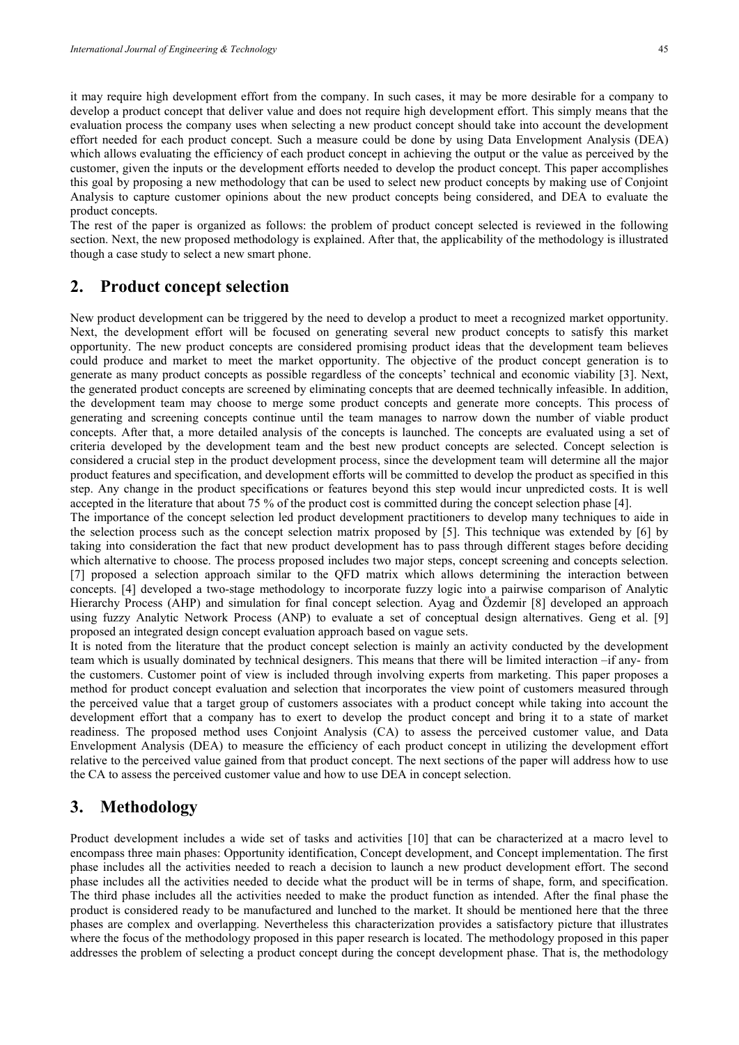it may require high development effort from the company. In such cases, it may be more desirable for a company to develop a product concept that deliver value and does not require high development effort. This simply means that the evaluation process the company uses when selecting a new product concept should take into account the development effort needed for each product concept. Such a measure could be done by using Data Envelopment Analysis (DEA) which allows evaluating the efficiency of each product concept in achieving the output or the value as perceived by the customer, given the inputs or the development efforts needed to develop the product concept. This paper accomplishes this goal by proposing a new methodology that can be used to select new product concepts by making use of Conjoint Analysis to capture customer opinions about the new product concepts being considered, and DEA to evaluate the product concepts.

The rest of the paper is organized as follows: the problem of product concept selected is reviewed in the following section. Next, the new proposed methodology is explained. After that, the applicability of the methodology is illustrated though a case study to select a new smart phone.

## 2. Product concept selection

New product development can be triggered by the need to develop a product to meet a recognized market opportunity. Next, the development effort will be focused on generating several new product concepts to satisfy this market opportunity. The new product concepts are considered promising product ideas that the development team believes could produce and market to meet the market opportunity. The objective of the product concept generation is to generate as many product concepts as possible regardless of the concepts' technical and economic viability [3]. Next, the generated product concepts are screened by eliminating concepts that are deemed technically infeasible. In addition, the development team may choose to merge some product concepts and generate more concepts. This process of generating and screening concepts continue until the team manages to narrow down the number of viable product concepts. After that, a more detailed analysis of the concepts is launched. The concepts are evaluated using a set of criteria developed by the development team and the best new product concepts are selected. Concept selection is considered a crucial step in the product development process, since the development team will determine all the major product features and specification, and development efforts will be committed to develop the product as specified in this step. Any change in the product specifications or features beyond this step would incur unpredicted costs. It is well accepted in the literature that about 75 % of the product cost is committed during the concept selection phase [4].

The importance of the concept selection led product development practitioners to develop many techniques to aide in the selection process such as the concept selection matrix proposed by [5]. This technique was extended by [6] by taking into consideration the fact that new product development has to pass through different stages before deciding which alternative to choose. The process proposed includes two major steps, concept screening and concepts selection. [7] proposed a selection approach similar to the QFD matrix which allows determining the interaction between concepts. [4] developed a two-stage methodology to incorporate fuzzy logic into a pairwise comparison of Analytic Hierarchy Process (AHP) and simulation for final concept selection. Ayag and Özdemir [8] developed an approach using fuzzy Analytic Network Process (ANP) to evaluate a set of conceptual design alternatives. Geng et al. [9] proposed an integrated design concept evaluation approach based on vague sets.

It is noted from the literature that the product concept selection is mainly an activity conducted by the development team which is usually dominated by technical designers. This means that there will be limited interaction –if any- from the customers. Customer point of view is included through involving experts from marketing. This paper proposes a method for product concept evaluation and selection that incorporates the view point of customers measured through the perceived value that a target group of customers associates with a product concept while taking into account the development effort that a company has to exert to develop the product concept and bring it to a state of market readiness. The proposed method uses Conjoint Analysis (CA) to assess the perceived customer value, and Data Envelopment Analysis (DEA) to measure the efficiency of each product concept in utilizing the development effort relative to the perceived value gained from that product concept. The next sections of the paper will address how to use the CA to assess the perceived customer value and how to use DEA in concept selection.

# 3. Methodology

Product development includes a wide set of tasks and activities [10] that can be characterized at a macro level to encompass three main phases: Opportunity identification, Concept development, and Concept implementation. The first phase includes all the activities needed to reach a decision to launch a new product development effort. The second phase includes all the activities needed to decide what the product will be in terms of shape, form, and specification. The third phase includes all the activities needed to make the product function as intended. After the final phase the product is considered ready to be manufactured and lunched to the market. It should be mentioned here that the three phases are complex and overlapping. Nevertheless this characterization provides a satisfactory picture that illustrates where the focus of the methodology proposed in this paper research is located. The methodology proposed in this paper addresses the problem of selecting a product concept during the concept development phase. That is, the methodology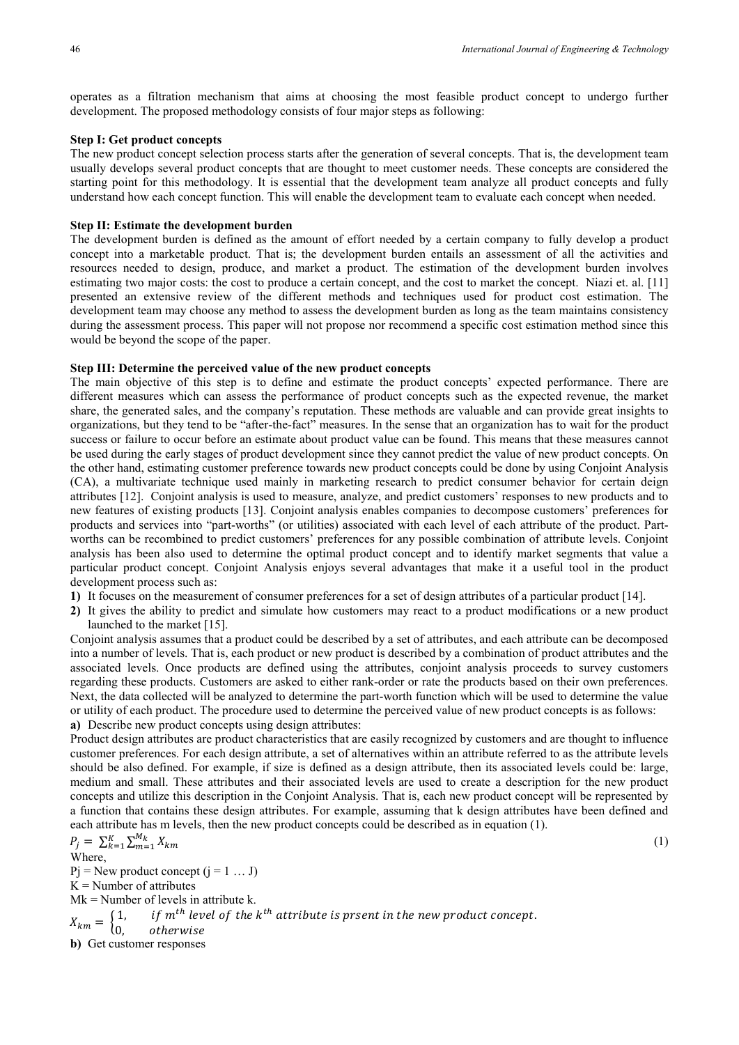operates as a filtration mechanism that aims at choosing the most feasible product concept to undergo further development. The proposed methodology consists of four major steps as following:

#### Step I: Get product concepts

The new product concept selection process starts after the generation of several concepts. That is, the development team usually develops several product concepts that are thought to meet customer needs. These concepts are considered the starting point for this methodology. It is essential that the development team analyze all product concepts and fully understand how each concept function. This will enable the development team to evaluate each concept when needed.

#### Step II: Estimate the development burden

The development burden is defined as the amount of effort needed by a certain company to fully develop a product concept into a marketable product. That is; the development burden entails an assessment of all the activities and resources needed to design, produce, and market a product. The estimation of the development burden involves estimating two major costs: the cost to produce a certain concept, and the cost to market the concept. Niazi et. al. [11] presented an extensive review of the different methods and techniques used for product cost estimation. The development team may choose any method to assess the development burden as long as the team maintains consistency during the assessment process. This paper will not propose nor recommend a specific cost estimation method since this would be beyond the scope of the paper.

#### Step III: Determine the perceived value of the new product concepts

The main objective of this step is to define and estimate the product concepts' expected performance. There are different measures which can assess the performance of product concepts such as the expected revenue, the market share, the generated sales, and the company's reputation. These methods are valuable and can provide great insights to organizations, but they tend to be "after-the-fact" measures. In the sense that an organization has to wait for the product success or failure to occur before an estimate about product value can be found. This means that these measures cannot be used during the early stages of product development since they cannot predict the value of new product concepts. On the other hand, estimating customer preference towards new product concepts could be done by using Conjoint Analysis (CA), a multivariate technique used mainly in marketing research to predict consumer behavior for certain deign attributes [12]. Conjoint analysis is used to measure, analyze, and predict customers' responses to new products and to new features of existing products [13]. Conjoint analysis enables companies to decompose customers' preferences for products and services into "part-worths" (or utilities) associated with each level of each attribute of the product. Partworths can be recombined to predict customers' preferences for any possible combination of attribute levels. Conjoint analysis has been also used to determine the optimal product concept and to identify market segments that value a particular product concept. Conjoint Analysis enjoys several advantages that make it a useful tool in the product development process such as:

1) It focuses on the measurement of consumer preferences for a set of design attributes of a particular product [14].

2) It gives the ability to predict and simulate how customers may react to a product modifications or a new product launched to the market [15].

Conjoint analysis assumes that a product could be described by a set of attributes, and each attribute can be decomposed into a number of levels. That is, each product or new product is described by a combination of product attributes and the associated levels. Once products are defined using the attributes, conjoint analysis proceeds to survey customers regarding these products. Customers are asked to either rank-order or rate the products based on their own preferences. Next, the data collected will be analyzed to determine the part-worth function which will be used to determine the value or utility of each product. The procedure used to determine the perceived value of new product concepts is as follows: a) Describe new product concepts using design attributes:

Product design attributes are product characteristics that are easily recognized by customers and are thought to influence customer preferences. For each design attribute, a set of alternatives within an attribute referred to as the attribute levels should be also defined. For example, if size is defined as a design attribute, then its associated levels could be: large, medium and small. These attributes and their associated levels are used to create a description for the new product concepts and utilize this description in the Conjoint Analysis. That is, each new product concept will be represented by a function that contains these design attributes. For example, assuming that k design attributes have been defined and each attribute has m levels, then the new product concepts could be described as in equation (1).

 $P_j = \sum_{k=1}^{K} \sum_{m=1}^{M_k} X_{km}$  (1)

Where,  $Pi = New product concept (j = 1 ... J)$  $K =$  Number of attributes  $Mk =$  Number of levels in attribute k.  $X_{km} = \begin{cases} 1, \\ 0. \end{cases}$ if  $m^{th}$  level of the  $k^{th}$  attribute is prsent in the new product concept. otherwise b) Get customer responses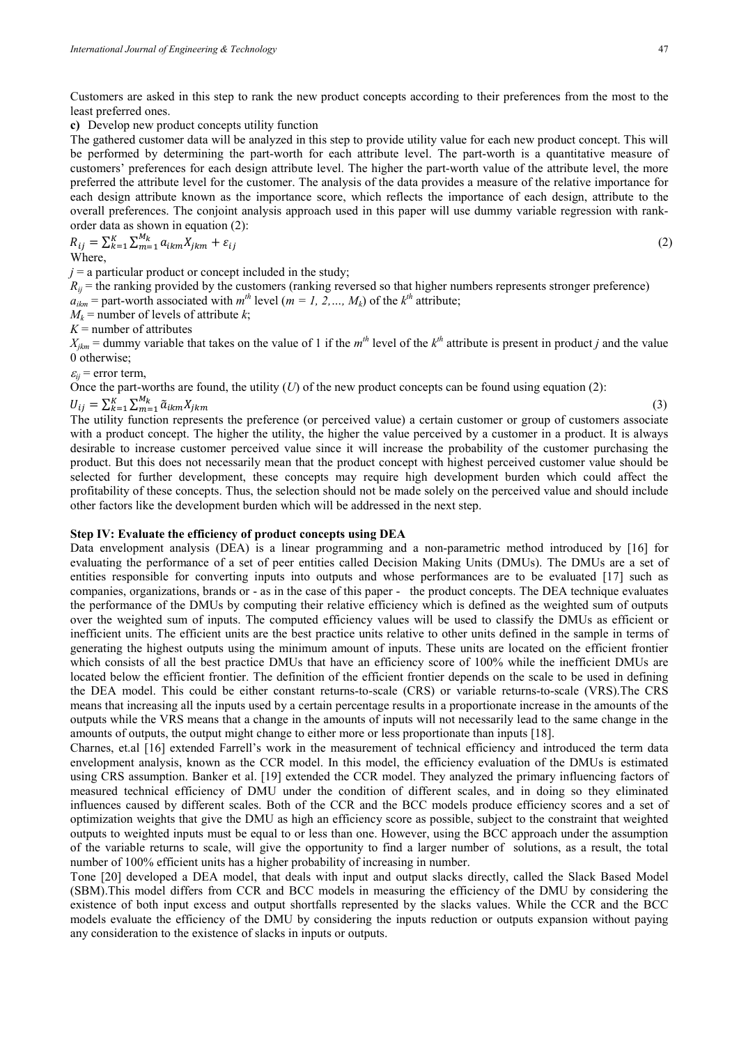Customers are asked in this step to rank the new product concepts according to their preferences from the most to the least preferred ones.

c) Develop new product concepts utility function

The gathered customer data will be analyzed in this step to provide utility value for each new product concept. This will be performed by determining the part-worth for each attribute level. The part-worth is a quantitative measure of customers' preferences for each design attribute level. The higher the part-worth value of the attribute level, the more preferred the attribute level for the customer. The analysis of the data provides a measure of the relative importance for each design attribute known as the importance score, which reflects the importance of each design, attribute to the overall preferences. The conjoint analysis approach used in this paper will use dummy variable regression with rankorder data as shown in equation (2):

$$
R_{ij} = \sum_{k=1}^{K} \sum_{m=1}^{M_k} a_{ikm} X_{jkm} + \varepsilon_{ij}
$$
\n(2)

\nWhere.

 $j = a$  particular product or concept included in the study;

 $R_{ij}$  = the ranking provided by the customers (ranking reversed so that higher numbers represents stronger preference)  $a_{ikm}$  = part-worth associated with  $m^{th}$  level ( $m = 1, 2, ..., M_k$ ) of the  $k^{th}$  attribute;

 $M_k$  = number of levels of attribute *k*;

 $K =$  number of attributes

 $X_{jkm}$  = dummy variable that takes on the value of 1 if the  $m^{th}$  level of the  $k^{th}$  attribute is present in product *j* and the value 0 otherwise;

 $\varepsilon_{ii}$  = error term.

Once the part-worths are found, the utility  $(U)$  of the new product concepts can be found using equation (2):

 $U_{ij} = \sum_{k=1}^{K} \sum_{m=1}^{M_k} \tilde{a}_{ikm} X_{jkm}$  (3)

The utility function represents the preference (or perceived value) a certain customer or group of customers associate with a product concept. The higher the utility, the higher the value perceived by a customer in a product. It is always desirable to increase customer perceived value since it will increase the probability of the customer purchasing the product. But this does not necessarily mean that the product concept with highest perceived customer value should be selected for further development, these concepts may require high development burden which could affect the profitability of these concepts. Thus, the selection should not be made solely on the perceived value and should include other factors like the development burden which will be addressed in the next step.

#### Step IV: Evaluate the efficiency of product concepts using DEA

Data envelopment analysis (DEA) is a linear programming and a non-parametric method introduced by [16] for evaluating the performance of a set of peer entities called Decision Making Units (DMUs). The DMUs are a set of entities responsible for converting inputs into outputs and whose performances are to be evaluated [17] such as companies, organizations, brands or - as in the case of this paper - the product concepts. The DEA technique evaluates the performance of the DMUs by computing their relative efficiency which is defined as the weighted sum of outputs over the weighted sum of inputs. The computed efficiency values will be used to classify the DMUs as efficient or inefficient units. The efficient units are the best practice units relative to other units defined in the sample in terms of generating the highest outputs using the minimum amount of inputs. These units are located on the efficient frontier which consists of all the best practice DMUs that have an efficiency score of 100% while the inefficient DMUs are located below the efficient frontier. The definition of the efficient frontier depends on the scale to be used in defining the DEA model. This could be either constant returns-to-scale (CRS) or variable returns-to-scale (VRS).The CRS means that increasing all the inputs used by a certain percentage results in a proportionate increase in the amounts of the outputs while the VRS means that a change in the amounts of inputs will not necessarily lead to the same change in the amounts of outputs, the output might change to either more or less proportionate than inputs [18].

Charnes, et.al [16] extended Farrell's work in the measurement of technical efficiency and introduced the term data envelopment analysis, known as the CCR model. In this model, the efficiency evaluation of the DMUs is estimated using CRS assumption. Banker et al. [19] extended the CCR model. They analyzed the primary influencing factors of measured technical efficiency of DMU under the condition of different scales, and in doing so they eliminated influences caused by different scales. Both of the CCR and the BCC models produce efficiency scores and a set of optimization weights that give the DMU as high an efficiency score as possible, subject to the constraint that weighted outputs to weighted inputs must be equal to or less than one. However, using the BCC approach under the assumption of the variable returns to scale, will give the opportunity to find a larger number of solutions, as a result, the total number of 100% efficient units has a higher probability of increasing in number.

Tone [20] developed a DEA model, that deals with input and output slacks directly, called the Slack Based Model (SBM).This model differs from CCR and BCC models in measuring the efficiency of the DMU by considering the existence of both input excess and output shortfalls represented by the slacks values. While the CCR and the BCC models evaluate the efficiency of the DMU by considering the inputs reduction or outputs expansion without paying any consideration to the existence of slacks in inputs or outputs.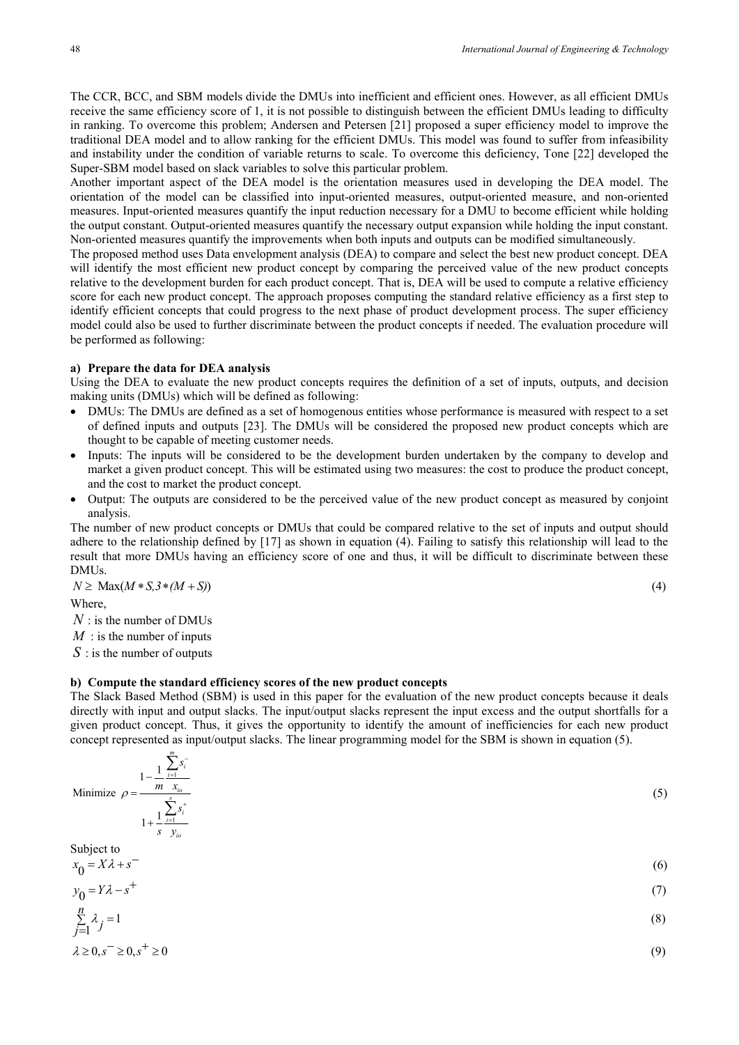The CCR, BCC, and SBM models divide the DMUs into inefficient and efficient ones. However, as all efficient DMUs receive the same efficiency score of 1, it is not possible to distinguish between the efficient DMUs leading to difficulty in ranking. To overcome this problem; Andersen and Petersen [21] proposed a super efficiency model to improve the traditional DEA model and to allow ranking for the efficient DMUs. This model was found to suffer from infeasibility and instability under the condition of variable returns to scale. To overcome this deficiency, Tone [22] developed the Super-SBM model based on slack variables to solve this particular problem.

Another important aspect of the DEA model is the orientation measures used in developing the DEA model. The orientation of the model can be classified into input-oriented measures, output-oriented measure, and non-oriented measures. Input-oriented measures quantify the input reduction necessary for a DMU to become efficient while holding the output constant. Output-oriented measures quantify the necessary output expansion while holding the input constant. Non-oriented measures quantify the improvements when both inputs and outputs can be modified simultaneously.

The proposed method uses Data envelopment analysis (DEA) to compare and select the best new product concept. DEA will identify the most efficient new product concept by comparing the perceived value of the new product concepts relative to the development burden for each product concept. That is, DEA will be used to compute a relative efficiency score for each new product concept. The approach proposes computing the standard relative efficiency as a first step to identify efficient concepts that could progress to the next phase of product development process. The super efficiency model could also be used to further discriminate between the product concepts if needed. The evaluation procedure will be performed as following:

#### a) Prepare the data for DEA analysis

Using the DEA to evaluate the new product concepts requires the definition of a set of inputs, outputs, and decision making units (DMUs) which will be defined as following:

- DMUs: The DMUs are defined as a set of homogenous entities whose performance is measured with respect to a set of defined inputs and outputs [23]. The DMUs will be considered the proposed new product concepts which are thought to be capable of meeting customer needs.
- Inputs: The inputs will be considered to be the development burden undertaken by the company to develop and market a given product concept. This will be estimated using two measures: the cost to produce the product concept, and the cost to market the product concept.
- Output: The outputs are considered to be the perceived value of the new product concept as measured by conjoint analysis.

The number of new product concepts or DMUs that could be compared relative to the set of inputs and output should adhere to the relationship defined by [17] as shown in equation (4). Failing to satisfy this relationship will lead to the result that more DMUs having an efficiency score of one and thus, it will be difficult to discriminate between these DMUs.

$$
N \ge \text{Max}(M * S, 3 * (M + S))
$$
\nWhere

 $N \cdot$  is the number of DMUs

*M* : is the number of inputs

*S* : is the number of outputs

*m*

### b) Compute the standard efficiency scores of the new product concepts

The Slack Based Method (SBM) is used in this paper for the evaluation of the new product concepts because it deals directly with input and output slacks. The input/output slacks represent the input excess and the output shortfalls for a given product concept. Thus, it gives the opportunity to identify the amount of inefficiencies for each new product concept represented as input/output slacks. The linear programming model for the SBM is shown in equation (5).

Minimize 
$$
\rho = \frac{1 - \frac{1}{m} \sum_{i=1}^{S_i^-}}{1 + \frac{1}{s} \sum_{i=1}^{s} s_i^+}
$$
 (5)  
Subject to

$$
x_0 = X\lambda + s^{-1}
$$

$$
y_0 = Y\lambda - s^+ \tag{7}
$$

$$
\sum_{j=1}^{\sum} \lambda_j = 1
$$
\n
$$
\lambda \ge 0, s^- \ge 0, s^+ \ge 0
$$
\n(8)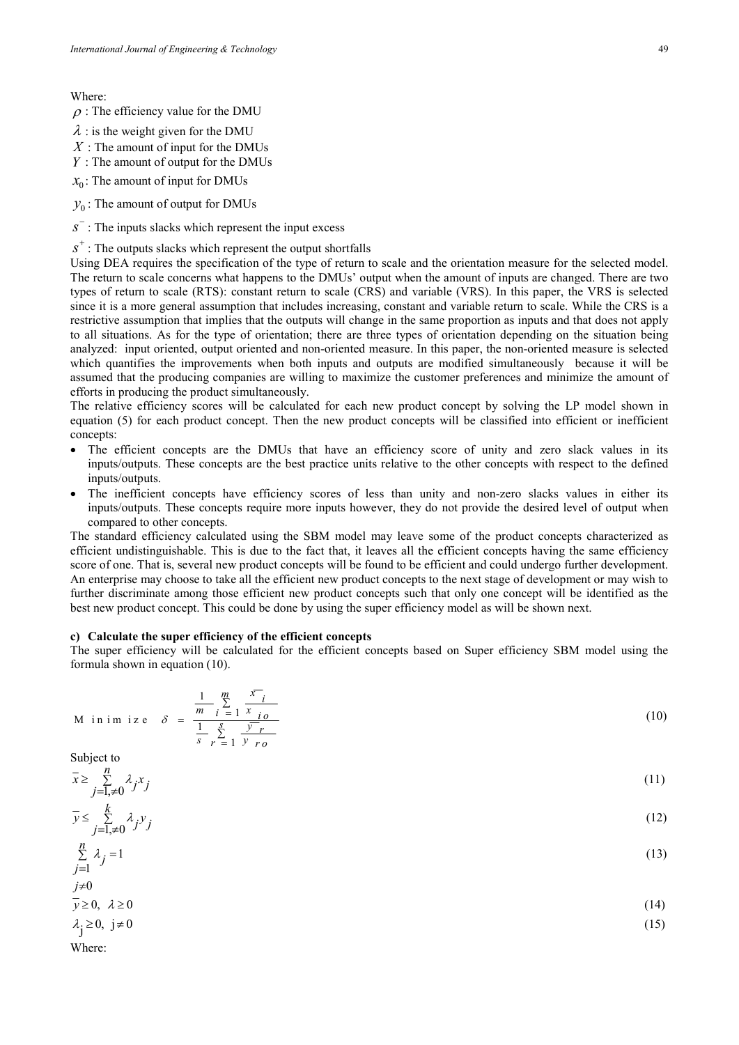#### Where:

 $\rho$ : The efficiency value for the DMU

- $\lambda$ : is the weight given for the DMU
- *X* : The amount of input for the DMUs
- *Y* : The amount of output for the DMUs
- $x_0$ : The amount of input for DMUs

 $y_0$ : The amount of output for DMUs

 $s<sup>-</sup>$ : The inputs slacks which represent the input excess

 $s^{\dagger}$ : The outputs slacks which represent the output shortfalls

Using DEA requires the specification of the type of return to scale and the orientation measure for the selected model. The return to scale concerns what happens to the DMUs' output when the amount of inputs are changed. There are two types of return to scale (RTS): constant return to scale (CRS) and variable (VRS). In this paper, the VRS is selected since it is a more general assumption that includes increasing, constant and variable return to scale. While the CRS is a restrictive assumption that implies that the outputs will change in the same proportion as inputs and that does not apply to all situations. As for the type of orientation; there are three types of orientation depending on the situation being analyzed: input oriented, output oriented and non-oriented measure. In this paper, the non-oriented measure is selected which quantifies the improvements when both inputs and outputs are modified simultaneously because it will be assumed that the producing companies are willing to maximize the customer preferences and minimize the amount of efforts in producing the product simultaneously.

The relative efficiency scores will be calculated for each new product concept by solving the LP model shown in equation (5) for each product concept. Then the new product concepts will be classified into efficient or inefficient concepts:

- The efficient concepts are the DMUs that have an efficiency score of unity and zero slack values in its inputs/outputs. These concepts are the best practice units relative to the other concepts with respect to the defined inputs/outputs.
- The inefficient concepts have efficiency scores of less than unity and non-zero slacks values in either its inputs/outputs. These concepts require more inputs however, they do not provide the desired level of output when compared to other concepts.

The standard efficiency calculated using the SBM model may leave some of the product concepts characterized as efficient undistinguishable. This is due to the fact that, it leaves all the efficient concepts having the same efficiency score of one. That is, several new product concepts will be found to be efficient and could undergo further development. An enterprise may choose to take all the efficient new product concepts to the next stage of development or may wish to further discriminate among those efficient new product concepts such that only one concept will be identified as the best new product concept. This could be done by using the super efficiency model as will be shown next.

#### c) Calculate the super efficiency of the efficient concepts

The super efficiency will be calculated for the efficient concepts based on Super efficiency SBM model using the formula shown in equation (10).

M in im ize 
$$
\delta = \frac{\frac{1}{m} \sum_{i=1}^{m} \frac{\bar{x}_{i}}{x_{io}}}{\frac{1}{s} \sum_{r=1}^{s} \frac{\bar{y}_{r}}{y_{ro}}}
$$
 (10)

Subject to

$$
\bar{x} \ge \sum_{j=1,\neq 0}^{n} \lambda_j x_j \tag{11}
$$

$$
\overline{y} \le \sum_{j=1,\neq 0}^{k} \lambda_j y_j \tag{12}
$$

$$
\sum_{j=1}^{n} \lambda_j = 1 \tag{13}
$$

$$
j \neq 0
$$
\n
$$
\overline{z} > 0, \quad 1 > 0 \tag{14}
$$

$$
y \ge 0, \quad \lambda \ge 0 \tag{14}
$$

$$
\lambda_j \ge 0, \ j \ne 0 \tag{15}
$$

Where: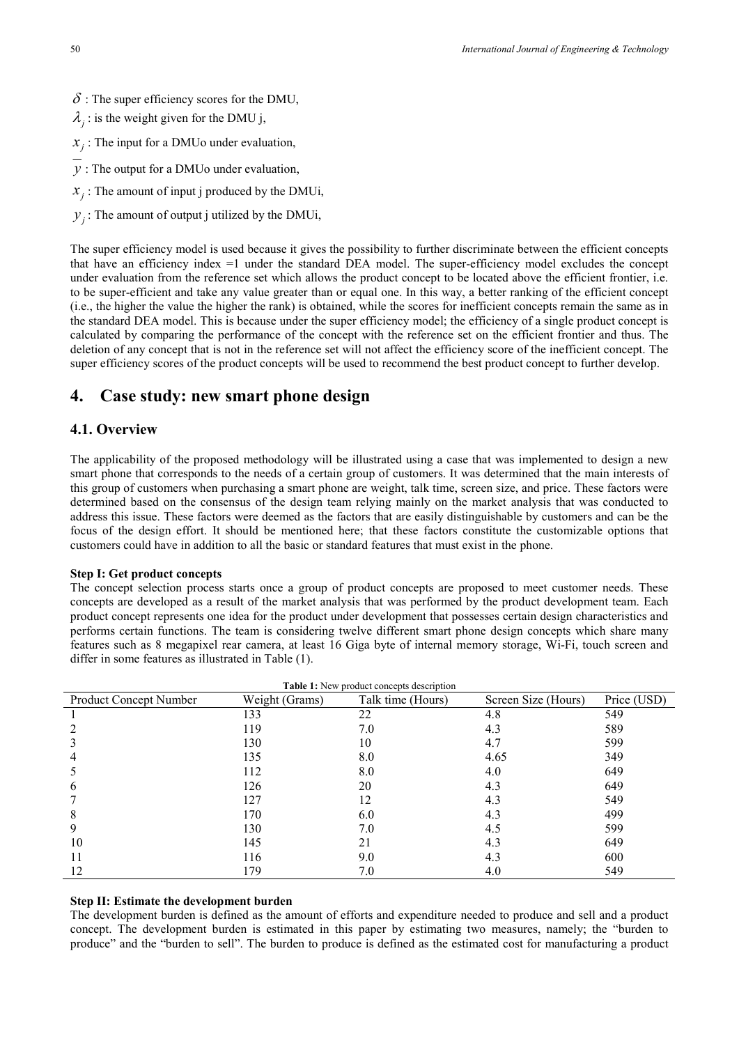- $\delta$ : The super efficiency scores for the DMU,
- $\lambda_i$ : is the weight given for the DMU j,
- $x_j$ : The input for a DMU<sub>o</sub> under evaluation,
- *y* : The output for a DMUo under evaluation,
- $x_i$ : The amount of input j produced by the DMUi,
- $y_i$ : The amount of output j utilized by the DMUi,

The super efficiency model is used because it gives the possibility to further discriminate between the efficient concepts that have an efficiency index =1 under the standard DEA model. The super-efficiency model excludes the concept under evaluation from the reference set which allows the product concept to be located above the efficient frontier, i.e. to be super-efficient and take any value greater than or equal one. In this way, a better ranking of the efficient concept (i.e., the higher the value the higher the rank) is obtained, while the scores for inefficient concepts remain the same as in the standard DEA model. This is because under the super efficiency model; the efficiency of a single product concept is calculated by comparing the performance of the concept with the reference set on the efficient frontier and thus. The deletion of any concept that is not in the reference set will not affect the efficiency score of the inefficient concept. The super efficiency scores of the product concepts will be used to recommend the best product concept to further develop.

### 4. Case study: new smart phone design

### 4.1. Overview

The applicability of the proposed methodology will be illustrated using a case that was implemented to design a new smart phone that corresponds to the needs of a certain group of customers. It was determined that the main interests of this group of customers when purchasing a smart phone are weight, talk time, screen size, and price. These factors were determined based on the consensus of the design team relying mainly on the market analysis that was conducted to address this issue. These factors were deemed as the factors that are easily distinguishable by customers and can be the focus of the design effort. It should be mentioned here; that these factors constitute the customizable options that customers could have in addition to all the basic or standard features that must exist in the phone.

#### Step I: Get product concepts

The concept selection process starts once a group of product concepts are proposed to meet customer needs. These concepts are developed as a result of the market analysis that was performed by the product development team. Each product concept represents one idea for the product under development that possesses certain design characteristics and performs certain functions. The team is considering twelve different smart phone design concepts which share many features such as 8 megapixel rear camera, at least 16 Giga byte of internal memory storage, Wi-Fi, touch screen and differ in some features as illustrated in Table (1).

| <b>Table 1:</b> New product concepts description |                |                   |                     |             |  |
|--------------------------------------------------|----------------|-------------------|---------------------|-------------|--|
| <b>Product Concept Number</b>                    | Weight (Grams) | Talk time (Hours) | Screen Size (Hours) | Price (USD) |  |
|                                                  | 133            | 22                | 4.8                 | 549         |  |
|                                                  | 119            | 7.0               | 4.3                 | 589         |  |
|                                                  | 130            | 10                | 4.7                 | 599         |  |
|                                                  | 135            | 8.0               | 4.65                | 349         |  |
|                                                  | 112            | 8.0               | 4.0                 | 649         |  |
| b                                                | 126            | 20                | 4.3                 | 649         |  |
|                                                  | 127            | 12                | 4.3                 | 549         |  |
| 8                                                | 170            | 6.0               | 4.3                 | 499         |  |
|                                                  | 130            | 7.0               | 4.5                 | 599         |  |
| 10                                               | 145            | 21                | 4.3                 | 649         |  |
|                                                  | 116            | 9.0               | 4.3                 | 600         |  |
| 12                                               | 179            | 7.0               | 4.0                 | 549         |  |

#### Step II: Estimate the development burden

The development burden is defined as the amount of efforts and expenditure needed to produce and sell and a product concept. The development burden is estimated in this paper by estimating two measures, namely; the "burden to produce" and the "burden to sell". The burden to produce is defined as the estimated cost for manufacturing a product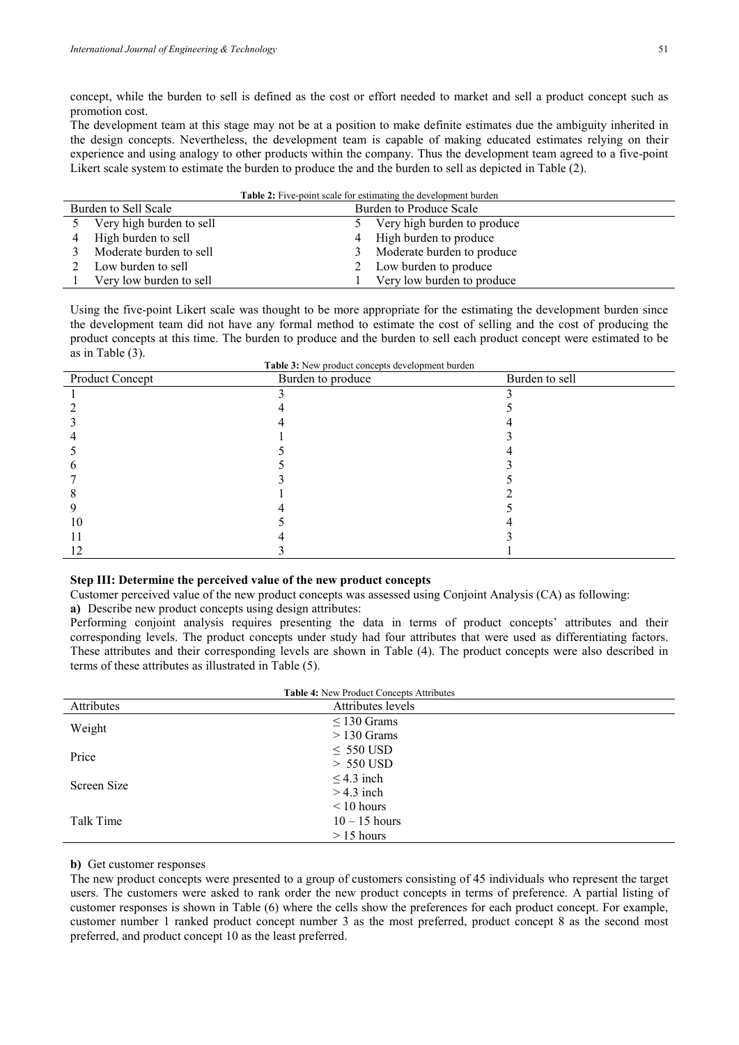concept, while the burden to sell is defined as the cost or effort needed to market and sell a product concept such as promotion cost.

The development team at this stage may not be at a position to make definite estimates due the ambiguity inherited in the design concepts. Nevertheless, the development team is capable of making educated estimates relying on their experience and using analogy to other products within the company. Thus the development team agreed to a five-point Likert scale system to estimate the burden to produce the and the burden to sell as depicted in Table (2).

| <b>Table 2:</b> Five-point scale for estimating the development burden |                                              |  |  |  |  |
|------------------------------------------------------------------------|----------------------------------------------|--|--|--|--|
| Burden to Sell Scale                                                   | Burden to Produce Scale                      |  |  |  |  |
| Very high burden to sell                                               | Very high burden to produce<br>$\mathcal{L}$ |  |  |  |  |
| High burden to sell                                                    | 4 High burden to produce                     |  |  |  |  |
| Moderate burden to sell                                                | Moderate burden to produce<br>3              |  |  |  |  |
| Low burden to sell                                                     | Low burden to produce<br>2                   |  |  |  |  |
| Very low burden to sell                                                | Very low burden to produce                   |  |  |  |  |

Using the five-point Likert scale was thought to be more appropriate for the estimating the development burden since the development team did not have any formal method to estimate the cost of selling and the cost of producing the product concepts at this time. The burden to produce and the burden to sell each product concept were estimated to be as in Table (3).

| Product Concept | Burden to produce | Burden to sell |  |
|-----------------|-------------------|----------------|--|
|                 |                   |                |  |
|                 |                   |                |  |
|                 |                   |                |  |
|                 |                   |                |  |
|                 |                   |                |  |
|                 |                   |                |  |
|                 |                   |                |  |
|                 |                   |                |  |
|                 |                   |                |  |
| 10              |                   |                |  |
|                 |                   |                |  |
|                 |                   |                |  |

#### Step III: Determine the perceived value of the new product concepts

Customer perceived value of the new product concepts was assessed using Conjoint Analysis (CA) as following: a) Describe new product concepts using design attributes:

Performing conjoint analysis requires presenting the data in terms of product concepts' attributes and their corresponding levels. The product concepts under study had four attributes that were used as differentiating factors. These attributes and their corresponding levels are shown in Table (4). The product concepts were also described in terms of these attributes as illustrated in Table (5).

| Table 4: New Product Concepts Attributes |                   |  |  |
|------------------------------------------|-------------------|--|--|
| Attributes                               | Attributes levels |  |  |
| Weight                                   | $\leq$ 130 Grams  |  |  |
|                                          | $>130$ Grams      |  |  |
|                                          | $\leq 550$ USD    |  |  |
| Price                                    | $> 550$ USD       |  |  |
| Screen Size                              | $\leq$ 4.3 inch   |  |  |
|                                          | $>$ 4.3 inch      |  |  |
|                                          | $\leq 10$ hours   |  |  |
| Talk Time                                | $10 - 15$ hours   |  |  |
|                                          | $> 15$ hours      |  |  |

#### b) Get customer responses

The new product concepts were presented to a group of customers consisting of 45 individuals who represent the target users. The customers were asked to rank order the new product concepts in terms of preference. A partial listing of customer responses is shown in Table (6) where the cells show the preferences for each product concept. For example, customer number 1 ranked product concept number 3 as the most preferred, product concept 8 as the second most preferred, and product concept 10 as the least preferred.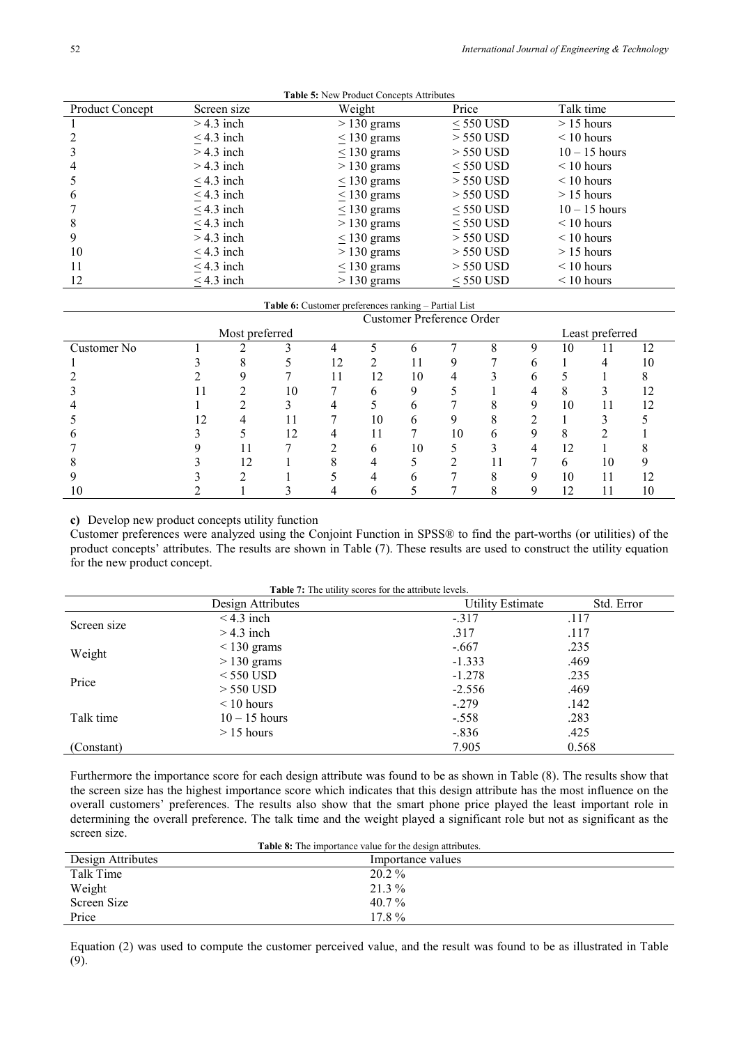| <b>Product Concept</b> | Screen size     | Weight           | Price          | Talk time       |
|------------------------|-----------------|------------------|----------------|-----------------|
|                        | $>$ 4.3 inch    | $> 130$ grams    | $<$ 550 USD    | $> 15$ hours    |
|                        | $<$ 4.3 inch    | $\leq$ 130 grams | $>$ 550 USD    | $\leq 10$ hours |
|                        | $>$ 4.3 inch    | $<$ 130 grams    | $>$ 550 USD    | $10 - 15$ hours |
| $\overline{4}$         | $>$ 4.3 inch    | $> 130$ grams    | $<$ 550 USD    | $\leq 10$ hours |
|                        | $<$ 4.3 inch    | $\leq$ 130 grams | $>$ 550 USD    | $\leq 10$ hours |
| 6                      | $<$ 4.3 inch    | $\leq$ 130 grams | $>$ 550 USD    | $>15$ hours     |
|                        | $\leq$ 4.3 inch | $\leq$ 130 grams | $<$ 550 USD    | $10 - 15$ hours |
| 8                      | $<$ 4.3 inch    | $> 130$ grams    | $\leq$ 550 USD | $\leq 10$ hours |
| 9                      | $>$ 4.3 inch    | $\leq$ 130 grams | $>$ 550 USD    | $\leq 10$ hours |
| 10                     | $<$ 4.3 inch    | $> 130$ grams    | $>$ 550 USD    | $> 15$ hours    |
| 11                     | $<$ 4.3 inch    | $\leq$ 130 grams | $>$ 550 USD    | $\leq 10$ hours |
| 12                     | $<$ 4.3 inch    | $> 130$ grams    | $<$ 550 USD    | $\leq 10$ hours |

#### Table 6: Customer preferences ranking – Partial List Customer Preference Order

|             |    |                |    |    |    | Customer Preference Orger |    |         |              |    |                 |    |
|-------------|----|----------------|----|----|----|---------------------------|----|---------|--------------|----|-----------------|----|
|             |    | Most preferred |    |    |    |                           |    |         |              |    | Least preferred |    |
| Customer No |    |                |    | 4  |    | h                         |    | 8       | q            | 10 |                 | 12 |
|             |    |                |    | 12 |    | 11                        | 9  |         | <sub>b</sub> |    | 4               | 10 |
|             |    |                |    | 11 | 12 | 10                        | 4  |         | <sub>b</sub> |    |                 |    |
|             |    |                | 10 |    | 6  | Q                         |    |         | 4            | 8  |                 | 12 |
|             |    |                |    |    |    | h                         |    | O       | q            | 10 | 11              | 12 |
|             | 12 |                |    |    | 10 | b                         |    | 8       | ◠            |    |                 |    |
|             |    |                | 12 |    | 11 |                           | 10 | b       | Q            | 8  |                 |    |
|             |    | 11             |    | ◠  | O  | 10                        |    | ∍       | 4            | 12 |                 |    |
|             |    | 12             |    |    |    |                           | ◠  |         |              | 6  | 10              |    |
|             |    |                |    |    |    |                           |    | $\circ$ | Q            | 10 | 11              | 12 |
| 10          |    |                |    |    |    |                           |    | $\circ$ | Q            | 12 | -1-1            | 10 |

c) Develop new product concepts utility function

Customer preferences were analyzed using the Conjoint Function in SPSS® to find the part-worths (or utilities) of the product concepts' attributes. The results are shown in Table (7). These results are used to construct the utility equation for the new product concept.

| <b>Table 7:</b> The utility scores for the attribute levels. |                   |                  |            |  |
|--------------------------------------------------------------|-------------------|------------------|------------|--|
|                                                              | Design Attributes | Utility Estimate | Std. Error |  |
| Screen size                                                  | $<$ 4.3 inch      | $-317$           | .117       |  |
|                                                              | $>$ 4.3 inch      | .317             | .117       |  |
| Weight                                                       | $<$ 130 grams     | $-.667$          | .235       |  |
|                                                              | $> 130$ grams     | $-1.333$         | .469       |  |
| Price                                                        | $<$ 550 USD       | $-1.278$         | .235       |  |
|                                                              | $>$ 550 USD       | $-2.556$         | .469       |  |
|                                                              | $\leq 10$ hours   | $-0.279$         | .142       |  |
| Talk time                                                    | $10 - 15$ hours   | $-.558$          | .283       |  |
|                                                              | $>15$ hours       | $-.836$          | .425       |  |
| (Constant)                                                   |                   | 7.905            | 0.568      |  |

Furthermore the importance score for each design attribute was found to be as shown in Table (8). The results show that the screen size has the highest importance score which indicates that this design attribute has the most influence on the overall customers' preferences. The results also show that the smart phone price played the least important role in determining the overall preference. The talk time and the weight played a significant role but not as significant as the screen size.

| <b>Table 8:</b> The importance value for the design attributes. |                   |  |  |
|-----------------------------------------------------------------|-------------------|--|--|
| Design Attributes                                               | Importance values |  |  |
| Talk Time                                                       | $20.2\%$          |  |  |
| Weight                                                          | 21.3 %            |  |  |
| Screen Size                                                     | 40.7%             |  |  |
| Price                                                           | $17.8\%$          |  |  |

Equation (2) was used to compute the customer perceived value, and the result was found to be as illustrated in Table (9).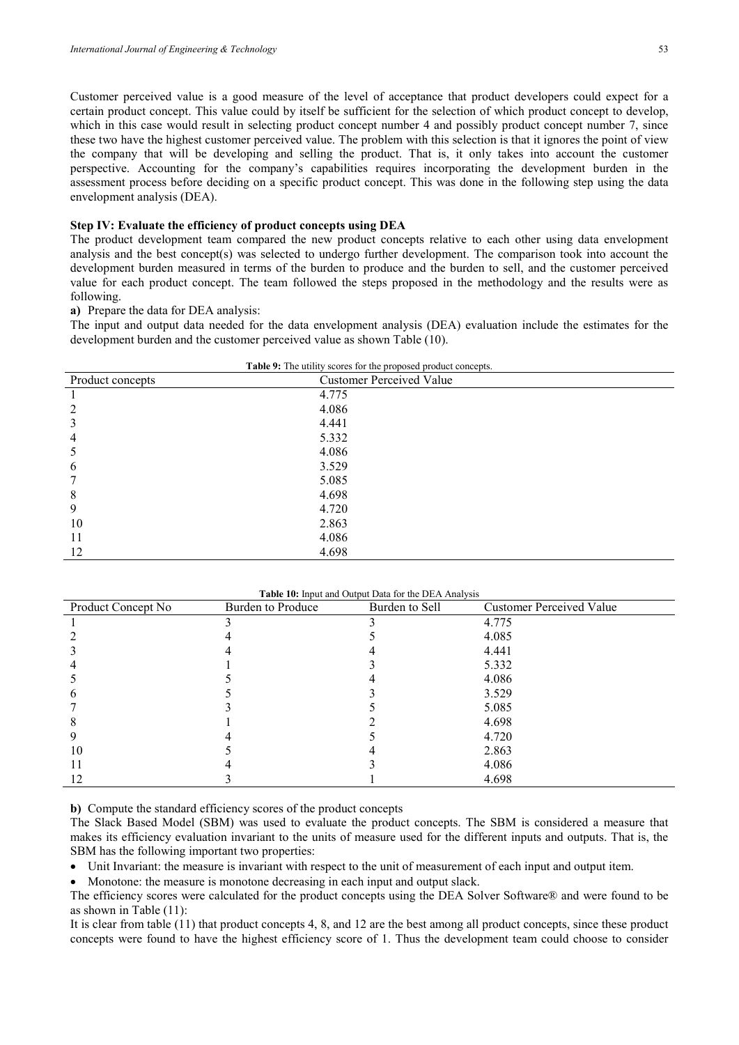Customer perceived value is a good measure of the level of acceptance that product developers could expect for a certain product concept. This value could by itself be sufficient for the selection of which product concept to develop, which in this case would result in selecting product concept number 4 and possibly product concept number 7, since these two have the highest customer perceived value. The problem with this selection is that it ignores the point of view the company that will be developing and selling the product. That is, it only takes into account the customer perspective. Accounting for the company's capabilities requires incorporating the development burden in the assessment process before deciding on a specific product concept. This was done in the following step using the data envelopment analysis (DEA).

### Step IV: Evaluate the efficiency of product concepts using DEA

The product development team compared the new product concepts relative to each other using data envelopment analysis and the best concept(s) was selected to undergo further development. The comparison took into account the development burden measured in terms of the burden to produce and the burden to sell, and the customer perceived value for each product concept. The team followed the steps proposed in the methodology and the results were as following.

a) Prepare the data for DEA analysis:

The input and output data needed for the data envelopment analysis (DEA) evaluation include the estimates for the development burden and the customer perceived value as shown Table (10).

| <b>Customer Perceived Value</b><br>Product concepts<br>4.775<br>4.086<br>2<br>4.441<br>3<br>5.332<br>$\overline{4}$<br>4.086<br>5<br>3.529<br>6 | <b>Table 9:</b> The utility scores for the proposed product concepts. |       |  |  |
|-------------------------------------------------------------------------------------------------------------------------------------------------|-----------------------------------------------------------------------|-------|--|--|
|                                                                                                                                                 |                                                                       |       |  |  |
|                                                                                                                                                 |                                                                       |       |  |  |
|                                                                                                                                                 |                                                                       |       |  |  |
|                                                                                                                                                 |                                                                       |       |  |  |
|                                                                                                                                                 |                                                                       |       |  |  |
|                                                                                                                                                 |                                                                       |       |  |  |
|                                                                                                                                                 |                                                                       |       |  |  |
|                                                                                                                                                 |                                                                       | 5.085 |  |  |
| 4.698<br>8                                                                                                                                      |                                                                       |       |  |  |
| 4.720<br>9                                                                                                                                      |                                                                       |       |  |  |
| 2.863<br>10                                                                                                                                     |                                                                       |       |  |  |
| 4.086<br>11                                                                                                                                     |                                                                       |       |  |  |
| 4.698<br>12                                                                                                                                     |                                                                       |       |  |  |

| Table 10: Input and Output Data for the DEA Analysis |                   |                |                                 |  |
|------------------------------------------------------|-------------------|----------------|---------------------------------|--|
| Product Concept No                                   | Burden to Produce | Burden to Sell | <b>Customer Perceived Value</b> |  |
|                                                      |                   |                | 4.775                           |  |
|                                                      |                   |                | 4.085                           |  |
|                                                      |                   |                | 4.441                           |  |
|                                                      |                   |                | 5.332                           |  |
|                                                      |                   |                | 4.086                           |  |
|                                                      |                   |                | 3.529                           |  |
|                                                      |                   |                | 5.085                           |  |
|                                                      |                   |                | 4.698                           |  |
|                                                      |                   |                | 4.720                           |  |
| 10                                                   |                   |                | 2.863                           |  |
|                                                      |                   |                | 4.086                           |  |
|                                                      |                   |                | 4.698                           |  |

b) Compute the standard efficiency scores of the product concepts

The Slack Based Model (SBM) was used to evaluate the product concepts. The SBM is considered a measure that makes its efficiency evaluation invariant to the units of measure used for the different inputs and outputs. That is, the SBM has the following important two properties:

- Unit Invariant: the measure is invariant with respect to the unit of measurement of each input and output item.
- Monotone: the measure is monotone decreasing in each input and output slack.

The efficiency scores were calculated for the product concepts using the DEA Solver Software® and were found to be as shown in Table (11):

It is clear from table (11) that product concepts 4, 8, and 12 are the best among all product concepts, since these product concepts were found to have the highest efficiency score of 1. Thus the development team could choose to consider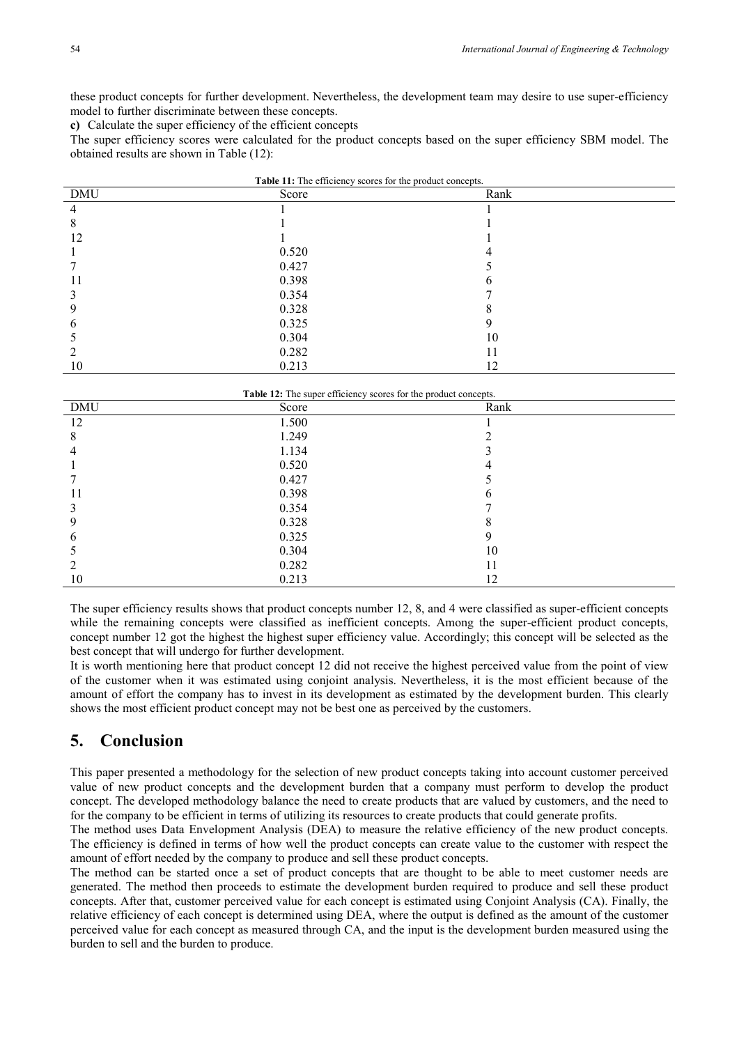these product concepts for further development. Nevertheless, the development team may desire to use super-efficiency model to further discriminate between these concepts.

c) Calculate the super efficiency of the efficient concepts

The super efficiency scores were calculated for the product concepts based on the super efficiency SBM model. The obtained results are shown in Table (12):

| Table 11: The efficiency scores for the product concepts. |       |      |  |  |
|-----------------------------------------------------------|-------|------|--|--|
| <b>DMU</b>                                                | Score | Rank |  |  |
| 4                                                         |       |      |  |  |
| 8                                                         |       |      |  |  |
| 12                                                        |       |      |  |  |
|                                                           | 0.520 |      |  |  |
|                                                           | 0.427 |      |  |  |
| 11                                                        | 0.398 | n    |  |  |
|                                                           | 0.354 |      |  |  |
| 9                                                         | 0.328 |      |  |  |
| b                                                         | 0.325 |      |  |  |
|                                                           | 0.304 | 10   |  |  |
|                                                           | 0.282 | 11   |  |  |
| 10                                                        | 0.213 | 12   |  |  |

| Table 12: The super efficiency scores for the product concepts. |       |      |  |  |  |
|-----------------------------------------------------------------|-------|------|--|--|--|
| <b>DMU</b>                                                      | Score | Rank |  |  |  |
| 12                                                              | 1.500 |      |  |  |  |
| 8                                                               | 1.249 |      |  |  |  |
| 4                                                               | 1.134 |      |  |  |  |
|                                                                 | 0.520 |      |  |  |  |
| 7                                                               | 0.427 |      |  |  |  |
| 11                                                              | 0.398 | o    |  |  |  |
| 3                                                               | 0.354 |      |  |  |  |
| 9                                                               | 0.328 | Λ    |  |  |  |
| 6                                                               | 0.325 | Q    |  |  |  |
| 5                                                               | 0.304 | 10   |  |  |  |
| 2                                                               | 0.282 | 11   |  |  |  |
| 10                                                              | 0.213 | 12   |  |  |  |

The super efficiency results shows that product concepts number 12, 8, and 4 were classified as super-efficient concepts while the remaining concepts were classified as inefficient concepts. Among the super-efficient product concepts, concept number 12 got the highest the highest super efficiency value. Accordingly; this concept will be selected as the best concept that will undergo for further development.

It is worth mentioning here that product concept 12 did not receive the highest perceived value from the point of view of the customer when it was estimated using conjoint analysis. Nevertheless, it is the most efficient because of the amount of effort the company has to invest in its development as estimated by the development burden. This clearly shows the most efficient product concept may not be best one as perceived by the customers.

# 5. Conclusion

This paper presented a methodology for the selection of new product concepts taking into account customer perceived value of new product concepts and the development burden that a company must perform to develop the product concept. The developed methodology balance the need to create products that are valued by customers, and the need to for the company to be efficient in terms of utilizing its resources to create products that could generate profits.

The method uses Data Envelopment Analysis (DEA) to measure the relative efficiency of the new product concepts. The efficiency is defined in terms of how well the product concepts can create value to the customer with respect the amount of effort needed by the company to produce and sell these product concepts.

The method can be started once a set of product concepts that are thought to be able to meet customer needs are generated. The method then proceeds to estimate the development burden required to produce and sell these product concepts. After that, customer perceived value for each concept is estimated using Conjoint Analysis (CA). Finally, the relative efficiency of each concept is determined using DEA, where the output is defined as the amount of the customer perceived value for each concept as measured through CA, and the input is the development burden measured using the burden to sell and the burden to produce.